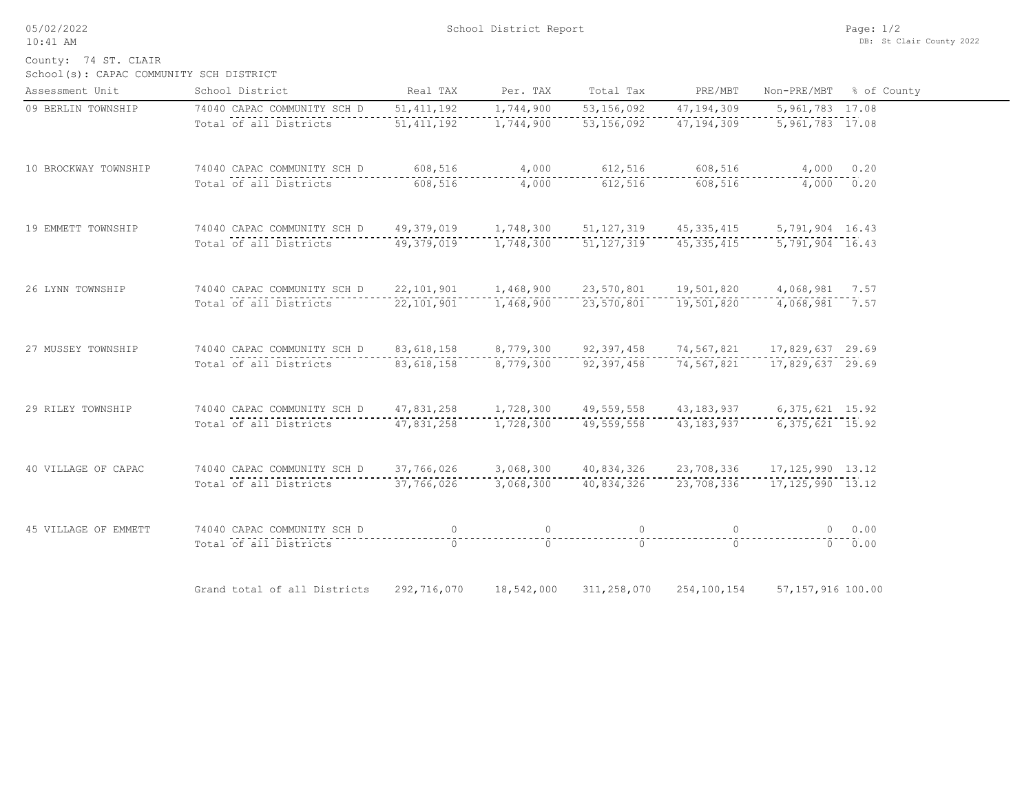05/02/2022

School(s): CAPAC COMMUNITY SCH DISTRICT County: 74 ST. CLAIR

| Assessment Unit      | School District              | Real TAX             | Per. TAX             | Total Tax    | PRE/MBT                                      | Non-PRE/MBT          | % of County |
|----------------------|------------------------------|----------------------|----------------------|--------------|----------------------------------------------|----------------------|-------------|
| 09 BERLIN TOWNSHIP   | 74040 CAPAC COMMUNITY SCH D  | 51, 411, 192         | 1,744,900            | 53, 156, 092 | 47, 194, 309                                 | 5,961,783 17.08      |             |
|                      | Total of all Districts       | 51, 411, 192         | 1,744,900            | 53, 156, 092 | 47, 194, 309                                 | $5,961,783$ 17.08    |             |
| 10 BROCKWAY TOWNSHIP | 74040 CAPAC COMMUNITY SCH D  | 608,516              | 4,000                | 612,516      | 608,516                                      | 4,000 0.20           |             |
|                      | Total of all Districts       | 608,516              | 4,000                | 612,516      | 608,516                                      | $4,000$ 0.20         |             |
| 19 EMMETT TOWNSHIP   | 74040 CAPAC COMMUNITY SCH D  | 49,379,019 1,748,300 |                      |              | 51, 127, 319 45, 335, 415 5, 791, 904 16. 43 |                      |             |
|                      | Total of all Districts       | 49,379,019 1,748,300 |                      | 51, 127, 319 | 45, 335, 415                                 | 5,791,904 16.43      |             |
| 26 LYNN TOWNSHIP     | 74040 CAPAC COMMUNITY SCH D  | 22,101,901           | 1,468,900            |              | 23,570,801 19,501,820                        | 4,068,981 7.57       |             |
|                      | Total of all Districts       | 22,101,901           | 1,468,900            | 23,570,801   | 19,501,820                                   | 4,068,981 7.57       |             |
| 27 MUSSEY TOWNSHIP   | 74040 CAPAC COMMUNITY SCH D  | 83,618,158           | 8,779,300            | 92,397,458   | 74,567,821                                   | 17,829,637 29.69     |             |
|                      | Total of all Districts       | 83,618,158           | 8,779,300            | 92,397,458   | 74,567,821                                   | 17,829,637 29.69     |             |
| 29 RILEY TOWNSHIP    | 74040 CAPAC COMMUNITY SCH D  | 47,831,258           | 1,728,300            | 49,559,558   | 43, 183, 937                                 | 6, 375, 621 15.92    |             |
|                      | Total of all Districts       | 47,831,258           | 1,728,300            | 49,559,558   | 43, 183, 937                                 | 6, 375, 621 15.92    |             |
| 40 VILLAGE OF CAPAC  | 74040 CAPAC COMMUNITY SCH D  |                      | 37,766,026 3,068,300 | 40,834,326   | 23,708,336                                   | 17, 125, 990 13.12   |             |
|                      | Total of all Districts       | 37,766,026           | 3,068,300            | 40,834,326   | 23,708,336                                   | $17, 125, 990$ 13.12 |             |
| 45 VILLAGE OF EMMETT | 74040 CAPAC COMMUNITY SCH D  | $\circ$              | $\circ$              | $\circ$      | $\circ$                                      |                      | 0 0.00      |
|                      | Total of all Districts       | $\Omega$             | $\bigcap$            | $\bigcap$    | $\Omega$                                     |                      | $0 \t 0.00$ |
|                      | Grand total of all Districts | 292,716,070          | 18,542,000           | 311,258,070  | 254,100,154                                  | 57,157,916 100.00    |             |